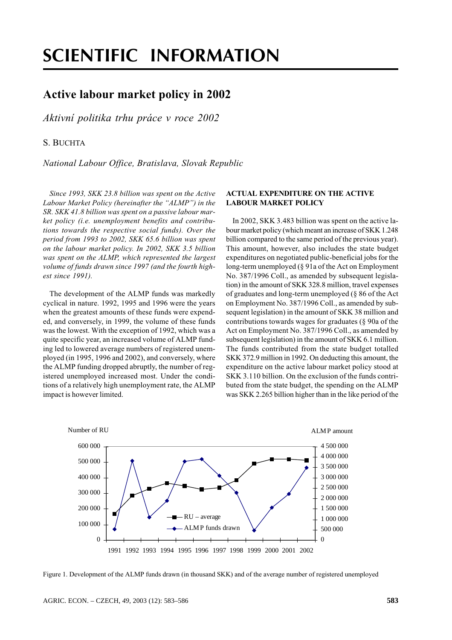# **SCIENTIFIC INFORMATION**

# **Active labour market policy in 2002**

Aktivní politika trhu práce v roce 2002

## S. BUCHTA

National Labour Office, Bratislava, Slovak Republic

Since 1993, SKK 23.8 billion was spent on the Active Labour Market Policy (hereinafter the "ALMP") in the SR. SKK 41.8 billion was spent on a passive labour market policy (i.e. unemployment benefits and contributions towards the respective social funds). Over the period from 1993 to 2002, SKK 65.6 billion was spent on the labour market policy. In 2002, SKK 3.5 billion was spent on the ALMP, which represented the largest volume of funds drawn since 1997 (and the fourth highest since 1991).

The development of the ALMP funds was markedly cyclical in nature. 1992, 1995 and 1996 were the years when the greatest amounts of these funds were expended, and conversely, in 1999, the volume of these funds was the lowest. With the exception of 1992, which was a quite specific year, an increased volume of ALMP funding led to lowered average numbers of registered unemployed (in 1995, 1996 and 2002), and conversely, where the ALMP funding dropped abruptly, the number of registered unemployed increased most. Under the conditions of a relatively high unemployment rate, the ALMP impact is however limited.

#### **ACTUAL EXPENDITURE ON THE ACTIVE LABOUR MARKET POLICY**

In 2002, SKK 3.483 billion was spent on the active labour market policy (which meant an increase of SKK 1.248) billion compared to the same period of the previous year). This amount, however, also includes the state budget expenditures on negotiated public-beneficial jobs for the long-term unemployed  $(\S$  91a of the Act on Employment No. 387/1996 Coll., as amended by subsequent legislation) in the amount of SKK 328.8 million, travel expenses of graduates and long-term unemployed (§ 86 of the Act on Employment No. 387/1996 Coll., as amended by subsequent legislation) in the amount of SKK 38 million and contributions towards wages for graduates (§ 90a of the Act on Employment No. 387/1996 Coll., as amended by subsequent legislation) in the amount of SKK 6.1 million. The funds contributed from the state budget totalled SKK 372.9 million in 1992. On deducting this amount, the expenditure on the active labour market policy stood at SKK 3.110 billion. On the exclusion of the funds contributed from the state budget, the spending on the ALMP was SKK 2.265 billion higher than in the like period of the



Figure 1. Development of the ALMP funds drawn (in thousand SKK) and of the average number of registered unemployed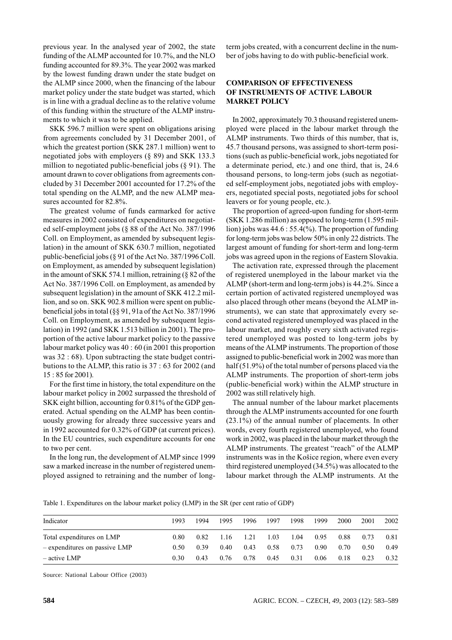previous year. In the analysed year of 2002, the state funding of the ALMP accounted for 10.7%, and the NLO funding accounted for 89.3%. The year 2002 was marked by the lowest funding drawn under the state budget on the ALMP since 2000, when the financing of the labour market policy under the state budget was started, which is in line with a gradual decline as to the relative volume of this funding within the structure of the ALMP instruments to which it was to be applied.

SKK 596.7 million were spent on obligations arising from agreements concluded by 31 December 2001, of which the greatest portion (SKK 287.1 million) went to negotiated jobs with employers  $(8 89)$  and SKK 133.3 million to negotiated public-beneficial jobs  $(\S 91)$ . The amount drawn to cover obligations from agreements concluded by 31 December 2001 accounted for 17.2% of the total spending on the ALMP, and the new ALMP measures accounted for 82.8%.

The greatest volume of funds earmarked for active measures in 2002 consisted of expenditures on negotiated self-employment jobs (§ 88 of the Act No.  $387/1996$ Coll. on Employment, as amended by subsequent legislation) in the amount of SKK 630.7 million, negotiated public-beneficial jobs (§ 91 of the Act No. 387/1996 Coll. on Employment, as amended by subsequent legislation) in the amount of SKK 574.1 million, retraining  $(\S$  82 of the Act No. 387/1996 Coll. on Employment, as amended by subsequent legislation) in the amount of SKK 412.2 million, and so on. SKK 902.8 million were spent on publicbeneficial jobs in total (§§ 91, 91a of the Act No. 387/1996 Coll. on Employment, as amended by subsequent legislation) in 1992 (and SKK 1.513 billion in 2001). The proportion of the active labour market policy to the passive labour market policy was 40 : 60 (in 2001 this proportion was 32 : 68). Upon subtracting the state budget contributions to the ALMP, this ratio is 37 : 63 for 2002 (and 15:85 for 2001).

For the first time in history, the total expenditure on the labour market policy in 2002 surpassed the threshold of SKK eight billion, accounting for 0.81% of the GDP generated. Actual spending on the ALMP has been continuously growing for already three successive years and in 1992 accounted for 0.32% of GDP (at current prices). In the EU countries, such expenditure accounts for one to two per cent.

In the long run, the development of ALMP since 1999 saw a marked increase in the number of registered unemployed assigned to retraining and the number of longterm jobs created, with a concurrent decline in the number of jobs having to do with public-beneficial work.

## **COMPARISON OF EFFECTIVENESS** OF INSTRUMENTS OF ACTIVE LABOUR **MARKET POLICY**

In 2002, approximately 70.3 thousand registered unemployed were placed in the labour market through the ALMP instruments. Two thirds of this number, that is, 45.7 thousand persons, was assigned to short-term positions (such as public-beneficial work, jobs negotiated for a determinate period, etc.) and one third, that is, 24.6 thousand persons, to long-term jobs (such as negotiated self-employment jobs, negotiated jobs with employers, negotiated special posts, negotiated jobs for school leavers or for young people, etc.).

The proportion of agreed-upon funding for short-term (SKK 1.286 million) as opposed to long-term (1.595 million) jobs was  $44.6:55.4\%$ . The proportion of funding for long-term jobs was below 50% in only 22 districts. The largest amount of funding for short-term and long-term jobs was agreed upon in the regions of Eastern Slovakia.

The activation rate, expressed through the placement of registered unemployed in the labour market via the ALMP (short-term and long-term jobs) is 44.2%. Since a certain portion of activated registered unemployed was also placed through other means (beyond the ALMP instruments), we can state that approximately every second activated registered unemployed was placed in the labour market, and roughly every sixth activated registered unemployed was posted to long-term jobs by means of the ALMP instruments. The proportion of those assigned to public-beneficial work in 2002 was more than half  $(51.9\%)$  of the total number of persons placed via the ALMP instruments. The proportion of short-term jobs (public-beneficial work) within the ALMP structure in 2002 was still relatively high.

The annual number of the labour market placements through the ALMP instruments accounted for one fourth  $(23.1\%)$  of the annual number of placements. In other words, every fourth registered unemployed, who found work in 2002, was placed in the labour market through the ALMP instruments. The greatest "reach" of the ALMP instruments was in the Košice region, where even every third registered unemployed (34.5%) was allocated to the labour market through the ALMP instruments. At the

Table 1. Expenditures on the labour market policy (LMP) in the SR (per cent ratio of GDP)

| Indicator                       | 1993 | 1994 | 1995 | 1996 | 1997 | 1998 | 1999 | <b>2000</b> | 2001 | 2002 |
|---------------------------------|------|------|------|------|------|------|------|-------------|------|------|
| Total expenditures on LMP       | 0.80 | 0.82 | 1.16 | 1.21 | 1.03 | 1.04 | 0.95 | 0.88        | 0.73 | 0.81 |
| $-$ expenditures on passive LMP | 0.50 | 0.39 | 0.40 | 0.43 | 0.58 | 0.73 | 0.90 | 0.70        | 0.50 | 0.49 |
| $-$ active LMP                  | 0.30 | 0.43 | 0.76 | 0.78 | 0.45 | 0.31 | 0.06 | 0.18        | 0.23 | 0.32 |

Source: National Labour Office (2003)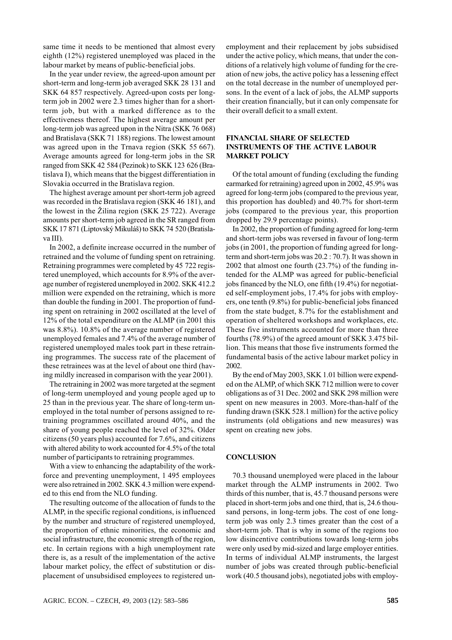same time it needs to be mentioned that almost every eighth (12%) registered unemployed was placed in the labour market by means of public-beneficial jobs.

In the year under review, the agreed-upon amount per short-term and long-term job averaged SKK 28 131 and SKK 64 857 respectively. Agreed-upon costs per longterm job in 2002 were 2.3 times higher than for a shortterm job, but with a marked difference as to the effectiveness thereof. The highest average amount per long-term job was agreed upon in the Nitra (SKK 76 068) and Bratislava (SKK 71 188) regions. The lowest amount was agreed upon in the Trnava region (SKK 55 667). Average amounts agreed for long-term jobs in the SR ranged from SKK 42 584 (Pezinok) to SKK 123 626 (Bratislava I), which means that the biggest differentiation in Slovakia occurred in the Bratislava region.

The highest average amount per short-term job agreed was recorded in the Bratislava region (SKK 46 181), and the lowest in the Žilina region (SKK 25 722). Average amounts per short-term job agreed in the SR ranged from SKK 17 871 (Liptovský Mikuláš) to SKK 74 520 (Bratislava III).

In 2002, a definite increase occurred in the number of retrained and the volume of funding spent on retraining. Retraining programmes were completed by 45 722 registered unemployed, which accounts for 8.9% of the average number of registered unemployed in 2002. SKK 412.2 million were expended on the retraining, which is more than double the funding in 2001. The proportion of funding spent on retraining in 2002 oscillated at the level of 12% of the total expenditure on the ALMP (in 2001 this was 8.8%). 10.8% of the average number of registered unemployed females and 7.4% of the average number of registered unemployed males took part in these retraining programmes. The success rate of the placement of these retrainees was at the level of about one third (having mildly increased in comparison with the year 2001).

The retraining in 2002 was more targeted at the segment of long-term unemployed and young people aged up to 25 than in the previous year. The share of long-term unemployed in the total number of persons assigned to retraining programmes oscillated around 40%, and the share of young people reached the level of 32%. Older citizens (50 years plus) accounted for 7.6%, and citizens with altered ability to work accounted for 4.5% of the total number of participants to retraining programmes.

With a view to enhancing the adaptability of the workforce and preventing unemployment, 1 495 employees were also retrained in 2002. SKK 4.3 million were expended to this end from the NLO funding.

The resulting outcome of the allocation of funds to the ALMP, in the specific regional conditions, is influenced by the number and structure of registered unemployed, the proportion of ethnic minorities, the economic and social infrastructure, the economic strength of the region, etc. In certain regions with a high unemployment rate there is, as a result of the implementation of the active labour market policy, the effect of substitution or displacement of unsubsidised employees to registered unemployment and their replacement by jobs subsidised under the active policy, which means, that under the conditions of a relatively high volume of funding for the creation of new jobs, the active policy has a lessening effect on the total decrease in the number of unemployed persons. In the event of a lack of jobs, the ALMP supports their creation financially, but it can only compensate for their overall deficit to a small extent.

# **FINANCIAL SHARE OF SELECTED INSTRUMENTS OF THE ACTIVE LABOUR MARKET POLICY**

Of the total amount of funding (excluding the funding earmarked for retraining) agreed upon in 2002, 45.9% was agreed for long-term jobs (compared to the previous year, this proportion has doubled) and 40.7% for short-term jobs (compared to the previous year, this proportion dropped by 29.9 percentage points).

In 2002, the proportion of funding agreed for long-term and short-term jobs was reversed in favour of long-term jobs (in 2001, the proportion of funding agreed for longterm and short-term jobs was 20.2 : 70.7). It was shown in 2002 that almost one fourth  $(23.7%)$  of the funding intended for the ALMP was agreed for public-beneficial jobs financed by the NLO, one fifth (19.4%) for negotiated self-employment jobs, 17.4% for jobs with employers, one tenth (9.8%) for public-beneficial jobs financed from the state budget, 8.7% for the establishment and operation of sheltered workshops and workplaces, etc. These five instruments accounted for more than three fourths (78.9%) of the agreed amount of SKK 3.475 billion. This means that those five instruments formed the fundamental basis of the active labour market policy in 2002

By the end of May 2003, SKK 1.01 billion were expended on the ALMP, of which SKK 712 million were to cover obligations as of 31 Dec. 2002 and SKK 298 million were spent on new measures in 2003. More-than-half of the funding drawn (SKK 528.1 million) for the active policy instruments (old obligations and new measures) was spent on creating new jobs.

# **CONCLUSION**

70.3 thousand unemployed were placed in the labour market through the ALMP instruments in 2002. Two thirds of this number, that is, 45.7 thousand persons were placed in short-term jobs and one third, that is, 24.6 thousand persons, in long-term jobs. The cost of one longterm job was only 2.3 times greater than the cost of a short-term job. That is why in some of the regions too low disincentive contributions towards long-term jobs were only used by mid-sized and large employer entities. In terms of individual ALMP instruments, the largest number of jobs was created through public-beneficial work (40.5 thousand jobs), negotiated jobs with employ-